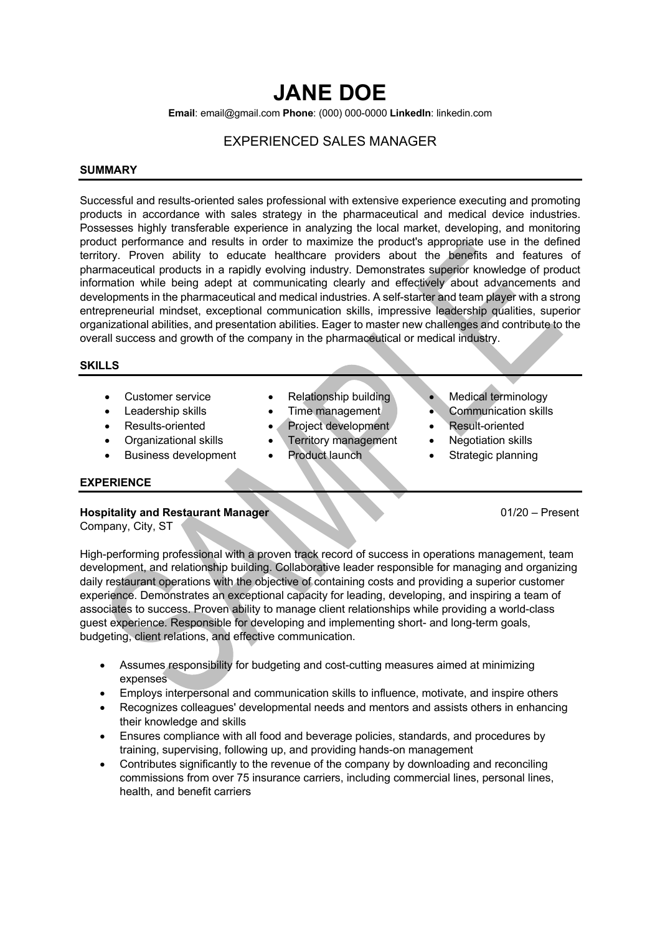# **JANE DOE**

**Email**: email@gmail.com **Phone**: (000) 000-0000 **LinkedIn**: linkedin.com

# EXPERIENCED SALES MANAGER

#### **SUMMARY**

Successful and results-oriented sales professional with extensive experience executing and promoting products in accordance with sales strategy in the pharmaceutical and medical device industries. Possesses highly transferable experience in analyzing the local market, developing, and monitoring product performance and results in order to maximize the product's appropriate use in the defined territory. Proven ability to educate healthcare providers about the benefits and features of pharmaceutical products in a rapidly evolving industry. Demonstrates superior knowledge of product information while being adept at communicating clearly and effectively about advancements and developments in the pharmaceutical and medical industries. A self-starter and team player with a strong entrepreneurial mindset, exceptional communication skills, impressive leadership qualities, superior organizational abilities, and presentation abilities. Eager to master new challenges and contribute to the overall success and growth of the company in the pharmaceutical or medical industry.

#### **SKILLS**

- 
- 
- 
- 
- Business development Product launch Strategic planning
- 
- 
- 
- Organizational skills Territory management Negotiation skills
	-
- Customer service Relationship building Medical terminology
- Leadership skills Time management Communication skills
- Results-oriented Project development Result-oriented
	-
	-

#### **EXPERIENCE**

# **Hospitality and Restaurant Manager 61/20 – Present 61/20 – Present 61/20 – Present 61/20 – Present 61/20 – Present 61/20 – Present 61/20 – Present 61/20 – Present 61/20 – Present 61/20 – Present 61/20 – Present 61/20 – Pr**

Company, City, ST

High-performing professional with a proven track record of success in operations management, team development, and relationship building. Collaborative leader responsible for managing and organizing daily restaurant operations with the objective of containing costs and providing a superior customer experience. Demonstrates an exceptional capacity for leading, developing, and inspiring a team of associates to success. Proven ability to manage client relationships while providing a world-class guest experience. Responsible for developing and implementing short- and long-term goals, budgeting, client relations, and effective communication.

- Assumes responsibility for budgeting and cost-cutting measures aimed at minimizing expenses
- Employs interpersonal and communication skills to influence, motivate, and inspire others
- Recognizes colleagues' developmental needs and mentors and assists others in enhancing their knowledge and skills
- Ensures compliance with all food and beverage policies, standards, and procedures by training, supervising, following up, and providing hands-on management
- Contributes significantly to the revenue of the company by downloading and reconciling commissions from over 75 insurance carriers, including commercial lines, personal lines, health, and benefit carriers